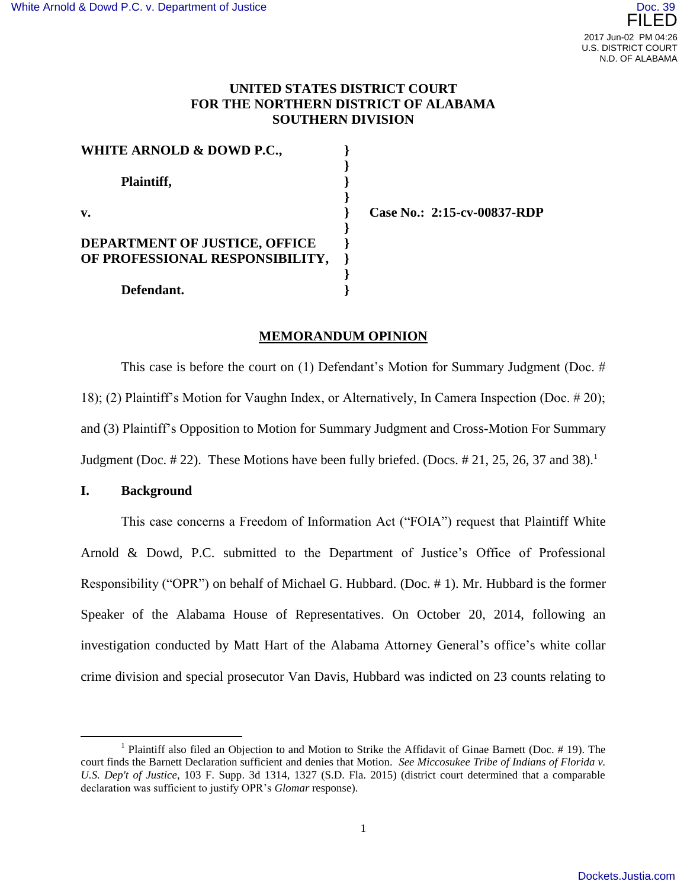# **UNITED STATES DISTRICT COURT FOR THE NORTHERN DISTRICT OF ALABAMA SOUTHERN DIVISION**

| WHITE ARNOLD & DOWD P.C.,            |  |
|--------------------------------------|--|
| Plaintiff,                           |  |
| v.                                   |  |
| <b>DEPARTMENT OF JUSTICE, OFFICE</b> |  |
| OF PROFESSIONAL RESPONSIBILITY,      |  |
| Defendant.                           |  |

**Case No.: 2:15-cv-00837-RDP**

## **MEMORANDUM OPINION**

This case is before the court on (1) Defendant's Motion for Summary Judgment (Doc. # 18); (2) Plaintiff's Motion for Vaughn Index, or Alternatively, In Camera Inspection (Doc. # 20); and (3) Plaintiff's Opposition to Motion for Summary Judgment and Cross-Motion For Summary Judgment (Doc.  $\#22$ ). These Motions have been fully briefed. (Docs.  $\#21$ , 25, 26, 37 and 38).<sup>1</sup>

### **I. Background**

 $\overline{a}$ 

This case concerns a Freedom of Information Act ("FOIA") request that Plaintiff White Arnold & Dowd, P.C. submitted to the Department of Justice's Office of Professional Responsibility ("OPR") on behalf of Michael G. Hubbard. (Doc. # 1). Mr. Hubbard is the former Speaker of the Alabama House of Representatives. On October 20, 2014, following an investigation conducted by Matt Hart of the Alabama Attorney General's office's white collar crime division and special prosecutor Van Davis, Hubbard was indicted on 23 counts relating to

<sup>&</sup>lt;sup>1</sup> Plaintiff also filed an Objection to and Motion to Strike the Affidavit of Ginae Barnett (Doc. # 19). The court finds the Barnett Declaration sufficient and denies that Motion. *See Miccosukee Tribe of Indians of Florida v. U.S. Dep't of Justice*, 103 F. Supp. 3d 1314, 1327 (S.D. Fla. 2015) (district court determined that a comparable declaration was sufficient to justify OPR's *Glomar* response).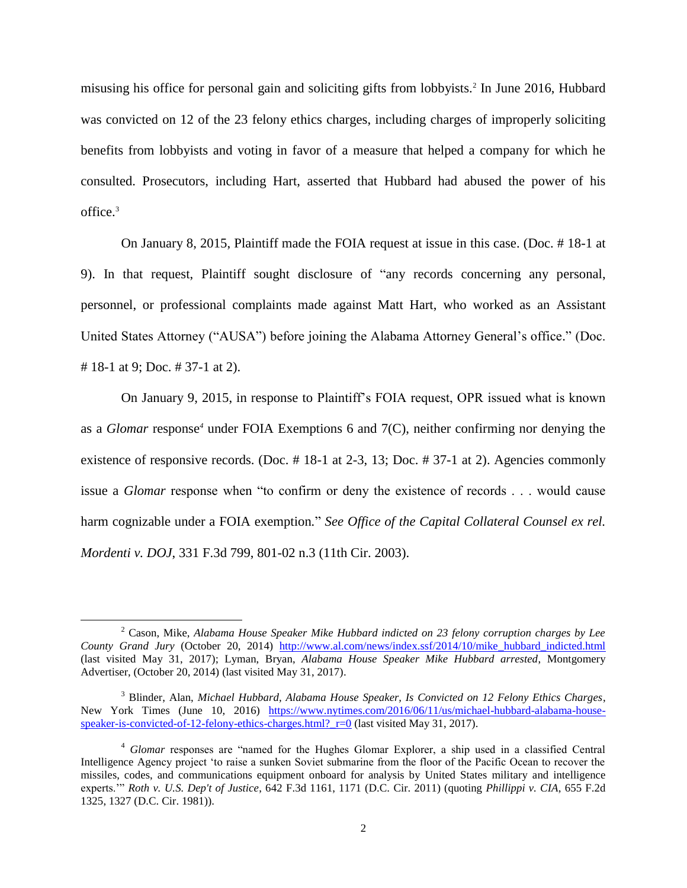misusing his office for personal gain and soliciting gifts from lobbyists.<sup>2</sup> In June 2016, Hubbard was convicted on 12 of the 23 felony ethics charges, including charges of improperly soliciting benefits from lobbyists and voting in favor of a measure that helped a company for which he consulted. Prosecutors, including Hart, asserted that Hubbard had abused the power of his office.<sup>3</sup>

On January 8, 2015, Plaintiff made the FOIA request at issue in this case. (Doc. # 18-1 at 9). In that request, Plaintiff sought disclosure of "any records concerning any personal, personnel, or professional complaints made against Matt Hart, who worked as an Assistant United States Attorney ("AUSA") before joining the Alabama Attorney General's office." (Doc. # 18-1 at 9; Doc. # 37-1 at 2).

On January 9, 2015, in response to Plaintiff's FOIA request, OPR issued what is known as a *Glomar* response*<sup>4</sup>* under FOIA Exemptions 6 and 7(C), neither confirming nor denying the existence of responsive records. (Doc. # 18-1 at 2-3, 13; Doc. # 37-1 at 2). Agencies commonly issue a *Glomar* response when "to confirm or deny the existence of records . . . would cause harm cognizable under a FOIA exemption*.*" *See Office of the Capital Collateral Counsel ex rel. Mordenti v. DOJ*, 331 F.3d 799, 801-02 n.3 (11th Cir. 2003).

 $\overline{a}$ 

<sup>2</sup> Cason, Mike, *Alabama House Speaker Mike Hubbard indicted on 23 felony corruption charges by Lee County Grand Jury* (October 20, 2014) [http://www.al.com/news/index.ssf/2014/10/mike\\_hubbard\\_indicted.html](http://www.al.com/news/index.ssf/2014/10/mike_hubbard_indicted.html) (last visited May 31, 2017); Lyman, Bryan, *Alabama House Speaker Mike Hubbard arrested*, Montgomery Advertiser, (October 20, 2014) (last visited May 31, 2017).

<sup>3</sup> Blinder, Alan, *Michael Hubbard, Alabama House Speaker, Is Convicted on 12 Felony Ethics Charges*, New York Times (June 10, 2016) [https://www.nytimes.com/2016/06/11/us/michael-hubbard-alabama-house](https://www.nytimes.com/2016/06/11/us/michael-hubbard-alabama-house-speaker-is-convicted-of-12-felony-ethics-charges.html?_r=0)speaker-is-convicted-of-12-felony-ethics-charges.html?  $r=0$  (last visited May 31, 2017).

<sup>4</sup> *Glomar* responses are "named for the Hughes Glomar Explorer, a ship used in a classified Central Intelligence Agency project 'to raise a sunken Soviet submarine from the floor of the Pacific Ocean to recover the missiles, codes, and communications equipment onboard for analysis by United States military and intelligence experts.'" *Roth v. U.S. Dep't of Justice*, 642 F.3d 1161, 1171 (D.C. Cir. 2011) (quoting *Phillippi v. CIA*, 655 F.2d 1325, 1327 (D.C. Cir. 1981)).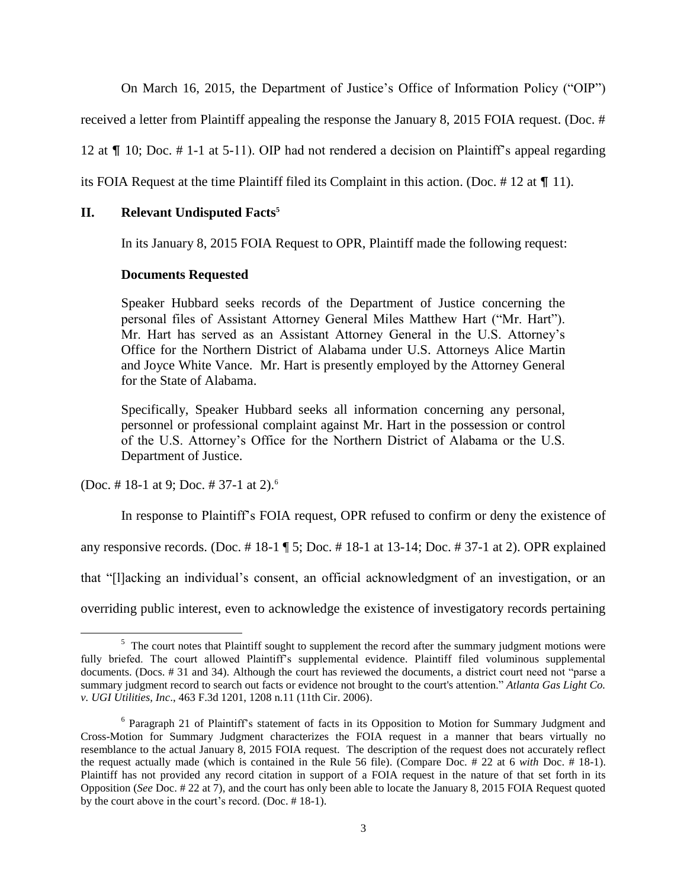On March 16, 2015, the Department of Justice's Office of Information Policy ("OIP")

received a letter from Plaintiff appealing the response the January 8, 2015 FOIA request. (Doc. #

12 at  $\P$  10; Doc. # 1-1 at 5-11). OIP had not rendered a decision on Plaintiff's appeal regarding

its FOIA Request at the time Plaintiff filed its Complaint in this action. (Doc.  $\#$  12 at  $\P$  11).

# **II. Relevant Undisputed Facts<sup>5</sup>**

In its January 8, 2015 FOIA Request to OPR, Plaintiff made the following request:

## **Documents Requested**

Speaker Hubbard seeks records of the Department of Justice concerning the personal files of Assistant Attorney General Miles Matthew Hart ("Mr. Hart"). Mr. Hart has served as an Assistant Attorney General in the U.S. Attorney's Office for the Northern District of Alabama under U.S. Attorneys Alice Martin and Joyce White Vance. Mr. Hart is presently employed by the Attorney General for the State of Alabama.

Specifically, Speaker Hubbard seeks all information concerning any personal, personnel or professional complaint against Mr. Hart in the possession or control of the U.S. Attorney's Office for the Northern District of Alabama or the U.S. Department of Justice.

(Doc. #18-1 at 9; Doc. #37-1 at 2).<sup>6</sup>

In response to Plaintiff's FOIA request, OPR refused to confirm or deny the existence of any responsive records. (Doc.  $\#$  18-1 ¶ 5; Doc.  $\#$  18-1 at 13-14; Doc.  $\#$  37-1 at 2). OPR explained that "[l]acking an individual's consent, an official acknowledgment of an investigation, or an overriding public interest, even to acknowledge the existence of investigatory records pertaining

 $\overline{a}$  $5$  The court notes that Plaintiff sought to supplement the record after the summary judgment motions were fully briefed. The court allowed Plaintiff's supplemental evidence. Plaintiff filed voluminous supplemental documents. (Docs. # 31 and 34). Although the court has reviewed the documents, a district court need not "parse a summary judgment record to search out facts or evidence not brought to the court's attention." *Atlanta Gas Light Co. v. UGI Utilities, Inc*., 463 F.3d 1201, 1208 n.11 (11th Cir. 2006).

<sup>&</sup>lt;sup>6</sup> Paragraph 21 of Plaintiff's statement of facts in its Opposition to Motion for Summary Judgment and Cross-Motion for Summary Judgment characterizes the FOIA request in a manner that bears virtually no resemblance to the actual January 8, 2015 FOIA request. The description of the request does not accurately reflect the request actually made (which is contained in the Rule 56 file). (Compare Doc. # 22 at 6 *with* Doc. # 18-1). Plaintiff has not provided any record citation in support of a FOIA request in the nature of that set forth in its Opposition (*See* Doc. # 22 at 7), and the court has only been able to locate the January 8, 2015 FOIA Request quoted by the court above in the court's record. (Doc. # 18-1).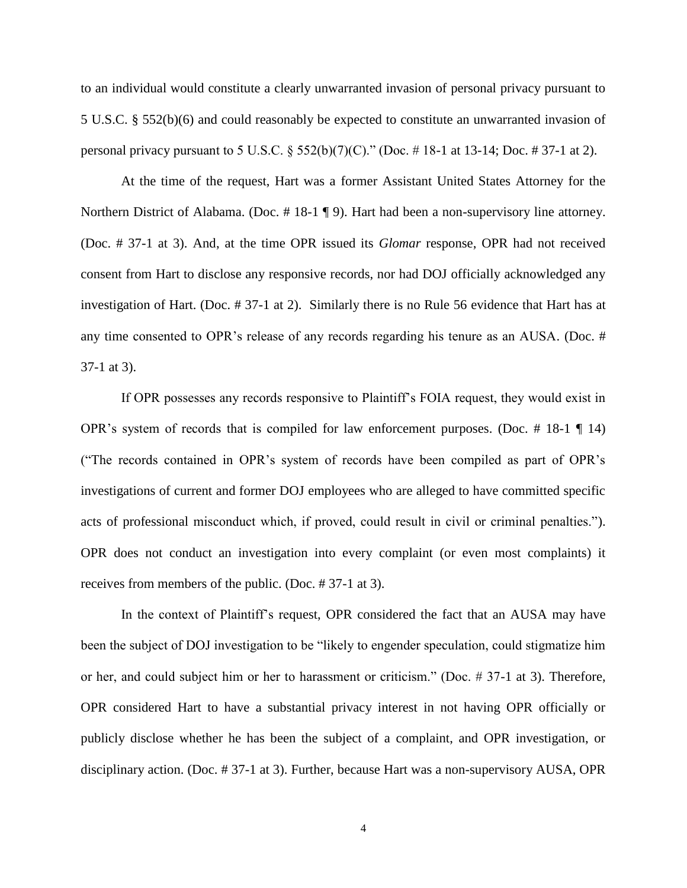to an individual would constitute a clearly unwarranted invasion of personal privacy pursuant to 5 U.S.C. § 552(b)(6) and could reasonably be expected to constitute an unwarranted invasion of personal privacy pursuant to 5 U.S.C.  $\S 552(b)(7)(C)$ ." (Doc. #18-1 at 13-14; Doc. #37-1 at 2).

At the time of the request, Hart was a former Assistant United States Attorney for the Northern District of Alabama. (Doc. #18-1 ¶ 9). Hart had been a non-supervisory line attorney. (Doc. # 37-1 at 3). And, at the time OPR issued its *Glomar* response, OPR had not received consent from Hart to disclose any responsive records, nor had DOJ officially acknowledged any investigation of Hart. (Doc. # 37-1 at 2). Similarly there is no Rule 56 evidence that Hart has at any time consented to OPR's release of any records regarding his tenure as an AUSA. (Doc. # 37-1 at 3).

If OPR possesses any records responsive to Plaintiff's FOIA request, they would exist in OPR's system of records that is compiled for law enforcement purposes. (Doc.  $\#$  18-1  $\P$  14) ("The records contained in OPR's system of records have been compiled as part of OPR's investigations of current and former DOJ employees who are alleged to have committed specific acts of professional misconduct which, if proved, could result in civil or criminal penalties."). OPR does not conduct an investigation into every complaint (or even most complaints) it receives from members of the public. (Doc. # 37-1 at 3).

In the context of Plaintiff's request, OPR considered the fact that an AUSA may have been the subject of DOJ investigation to be "likely to engender speculation, could stigmatize him or her, and could subject him or her to harassment or criticism." (Doc. # 37-1 at 3). Therefore, OPR considered Hart to have a substantial privacy interest in not having OPR officially or publicly disclose whether he has been the subject of a complaint, and OPR investigation, or disciplinary action. (Doc. # 37-1 at 3). Further, because Hart was a non-supervisory AUSA, OPR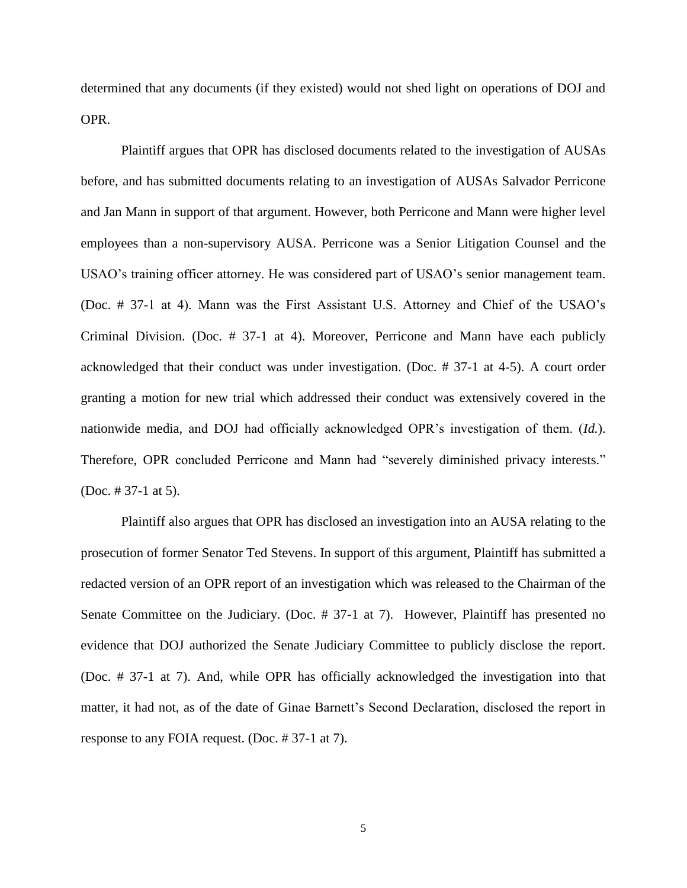determined that any documents (if they existed) would not shed light on operations of DOJ and OPR.

Plaintiff argues that OPR has disclosed documents related to the investigation of AUSAs before, and has submitted documents relating to an investigation of AUSAs Salvador Perricone and Jan Mann in support of that argument. However, both Perricone and Mann were higher level employees than a non-supervisory AUSA. Perricone was a Senior Litigation Counsel and the USAO's training officer attorney. He was considered part of USAO's senior management team. (Doc. # 37-1 at 4). Mann was the First Assistant U.S. Attorney and Chief of the USAO's Criminal Division. (Doc. # 37-1 at 4). Moreover, Perricone and Mann have each publicly acknowledged that their conduct was under investigation. (Doc. # 37-1 at 4-5). A court order granting a motion for new trial which addressed their conduct was extensively covered in the nationwide media, and DOJ had officially acknowledged OPR's investigation of them. (*Id.*). Therefore, OPR concluded Perricone and Mann had "severely diminished privacy interests." (Doc. # 37-1 at 5).

Plaintiff also argues that OPR has disclosed an investigation into an AUSA relating to the prosecution of former Senator Ted Stevens. In support of this argument, Plaintiff has submitted a redacted version of an OPR report of an investigation which was released to the Chairman of the Senate Committee on the Judiciary. (Doc. # 37-1 at 7). However, Plaintiff has presented no evidence that DOJ authorized the Senate Judiciary Committee to publicly disclose the report. (Doc. # 37-1 at 7). And, while OPR has officially acknowledged the investigation into that matter, it had not, as of the date of Ginae Barnett's Second Declaration, disclosed the report in response to any FOIA request. (Doc. # 37-1 at 7).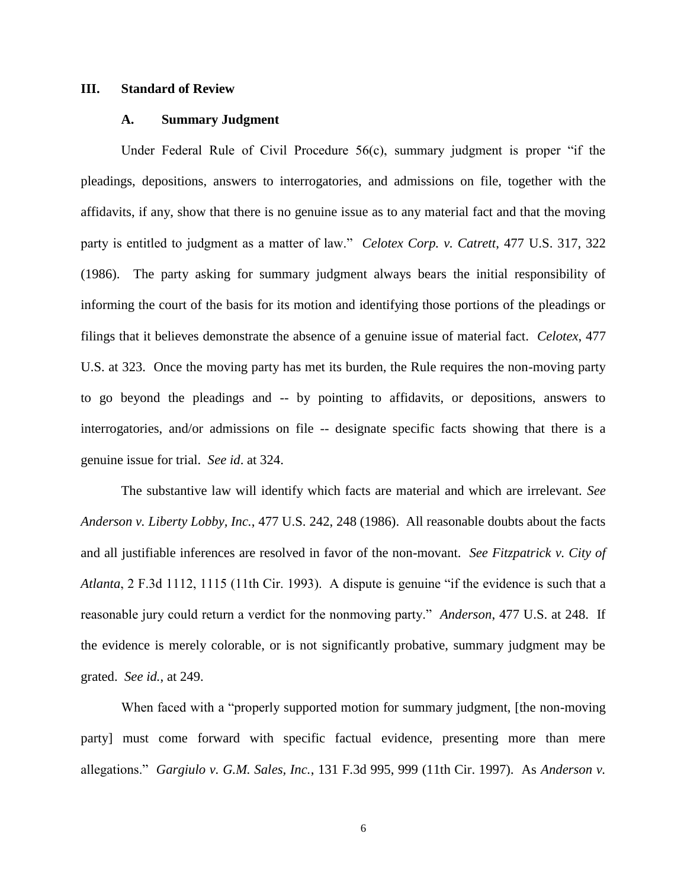#### **III. Standard of Review**

#### **A. Summary Judgment**

Under Federal Rule of Civil Procedure 56(c), summary judgment is proper "if the pleadings, depositions, answers to interrogatories, and admissions on file, together with the affidavits, if any, show that there is no genuine issue as to any material fact and that the moving party is entitled to judgment as a matter of law." *Celotex Corp. v. Catrett*, 477 U.S. 317, 322 (1986). The party asking for summary judgment always bears the initial responsibility of informing the court of the basis for its motion and identifying those portions of the pleadings or filings that it believes demonstrate the absence of a genuine issue of material fact. *Celotex*, 477 U.S. [at](http://id.at/) 323. Once the moving party has met its burden, the Rule requires the non-moving party to go beyond the pleadings and -- by pointing to affidavits, or depositions, answers to interrogatories, and/or admissions on file -- designate specific facts showing that there is a genuine issue for trial. *See id*[. at](http://id.at/) 324.

The substantive law will identify which facts are material and which are irrelevant. *See Anderson v. Liberty Lobby, Inc.*, 477 U.S. 242, 248 (1986). All reasonable doubts about the facts and all justifiable inferences are resolved in favor of the non-movant. *See Fitzpatrick v. City of Atlanta*, 2 F.3d 1112, 1115 (11th Cir. 1993). A dispute is genuine "if the evidence is such that a reasonable jury could return a verdict for the nonmoving party." *Anderson*, 477 U.S. at 248. If the evidence is merely colorable, or is not significantly probative, summary judgment may be grated. *See id.*, at 249.

When faced with a "properly supported motion for summary judgment, [the non-moving] party] must come forward with specific factual evidence, presenting more than mere allegations." *Gargiulo v. G.M. Sales, Inc.*, 131 F.3d 995, 999 (11th Cir. 1997). As *Anderson v.* 

6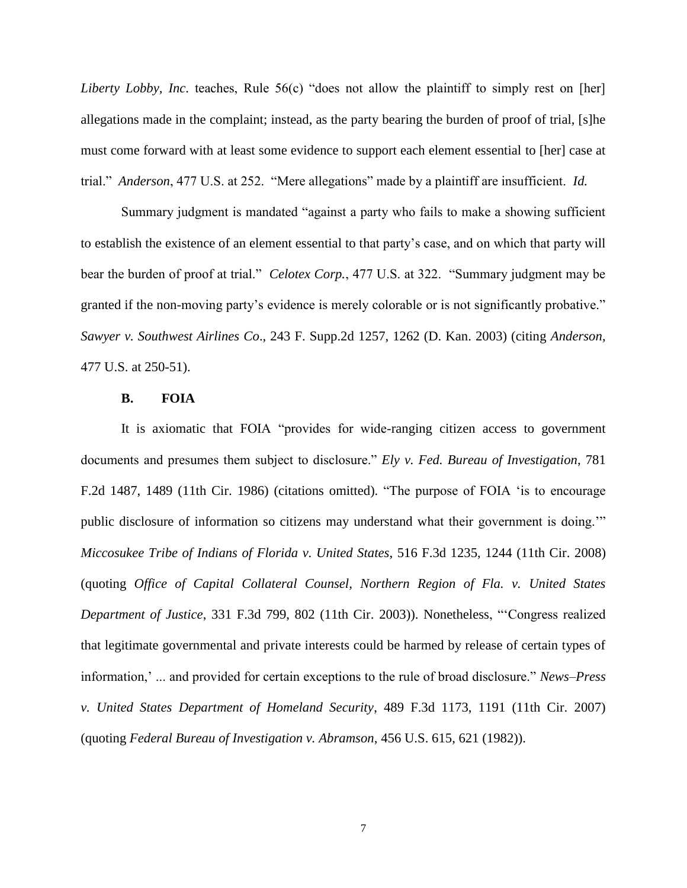*Liberty Lobby, Inc.* teaches, Rule 56(c) "does not allow the plaintiff to simply rest on [her] allegations made in the complaint; instead, as the party bearing the burden of proof of trial, [s]he must come forward with at least some evidence to support each element essential to [her] case at trial." *Anderson*, 477 U.S. at 252. "Mere allegations" made by a plaintiff are insufficient. *Id.*

Summary judgment is mandated "against a party who fails to make a showing sufficient to establish the existence of an element essential to that party's case, and on which that party will bear the burden of proof at trial." *Celotex Corp.*, 477 U.S. at 322. "Summary judgment may be granted if the non-moving party's evidence is merely colorable or is not significantly probative." *Sawyer v. Southwest Airlines Co*., 243 F. Supp.2d 1257, 1262 (D. Kan. 2003) (citing *Anderson*, 477 U.S. at 250-51).

#### **B. FOIA**

It is axiomatic that FOIA "provides for wide-ranging citizen access to government documents and presumes them subject to disclosure." *Ely v. Fed. Bureau of Investigation*, 781 F.2d 1487, 1489 (11th Cir. 1986) (citations omitted). "The purpose of FOIA 'is to encourage public disclosure of information so citizens may understand what their government is doing.'" *Miccosukee Tribe of Indians of Florida v. United States*, 516 F.3d 1235, 1244 (11th Cir. 2008) (quoting *Office of Capital Collateral Counsel, Northern Region of Fla. v. United States Department of Justice*, 331 F.3d 799, 802 (11th Cir. 2003)). Nonetheless, "'Congress realized that legitimate governmental and private interests could be harmed by release of certain types of information,' ... and provided for certain exceptions to the rule of broad disclosure." *News–Press v. United States Department of Homeland Security*, 489 F.3d 1173, 1191 (11th Cir. 2007) (quoting *Federal Bureau of Investigation v. Abramson*, 456 U.S. 615, 621 (1982)).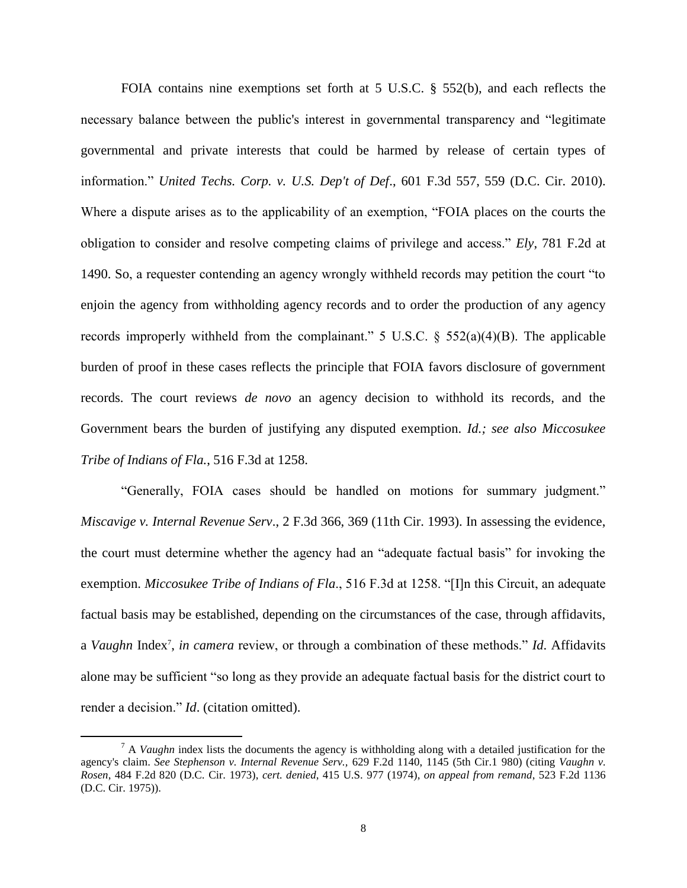FOIA contains nine exemptions set forth at 5 U.S.C. § 552(b), and each reflects the necessary balance between the public's interest in governmental transparency and "legitimate governmental and private interests that could be harmed by release of certain types of information." *United Techs. Corp. v. U.S. Dep't of Def*., 601 F.3d 557, 559 (D.C. Cir. 2010). Where a dispute arises as to the applicability of an exemption, "FOIA places on the courts the obligation to consider and resolve competing claims of privilege and access." *Ely*, 781 F.2d at 1490. So, a requester contending an agency wrongly withheld records may petition the court "to enjoin the agency from withholding agency records and to order the production of any agency records improperly withheld from the complainant." 5 U.S.C.  $\S$  552(a)(4)(B). The applicable burden of proof in these cases reflects the principle that FOIA favors disclosure of government records. The court reviews *de novo* an agency decision to withhold its records, and the Government bears the burden of justifying any disputed exemption. *Id.; see also Miccosukee Tribe of Indians of Fla.*, 516 F.3d at 1258.

"Generally, FOIA cases should be handled on motions for summary judgment." *Miscavige v. Internal Revenue Serv*., 2 F.3d 366, 369 (11th Cir. 1993). In assessing the evidence, the court must determine whether the agency had an "adequate factual basis" for invoking the exemption. *Miccosukee Tribe of Indians of Fla*., 516 F.3d at 1258. "[I]n this Circuit, an adequate factual basis may be established, depending on the circumstances of the case, through affidavits, a *Vaughn* Index<sup>7</sup>, *in camera* review, or through a combination of these methods." *Id*. Affidavits alone may be sufficient "so long as they provide an adequate factual basis for the district court to render a decision." *Id*. (citation omitted).

 $\overline{a}$ 

<sup>&</sup>lt;sup>7</sup> A *Vaughn* index lists the documents the agency is withholding along with a detailed justification for the agency's claim. *See Stephenson v. Internal Revenue Serv.,* 629 F.2d 1140, 1145 (5th Cir.1 980) (citing *Vaughn v. Rosen*, 484 F.2d 820 (D.C. Cir. 1973), *cert. denied*, 415 U.S. 977 (1974), *on appeal from remand*, 523 F.2d 1136 (D.C. Cir. 1975)).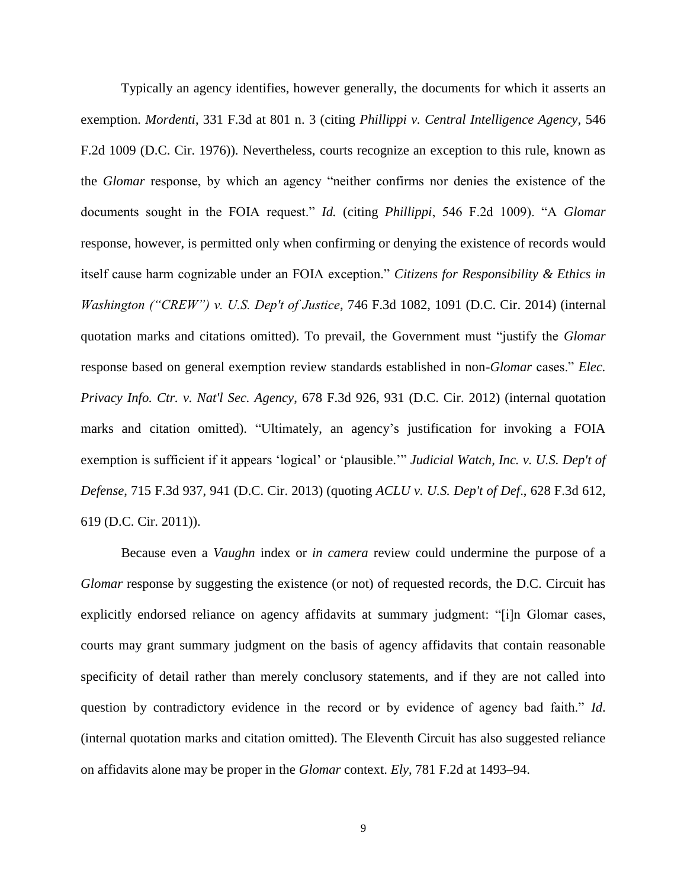Typically an agency identifies, however generally, the documents for which it asserts an exemption. *Mordenti*, 331 F.3d at 801 n. 3 (citing *Phillippi v. Central Intelligence Agency*, 546 F.2d 1009 (D.C. Cir. 1976)). Nevertheless, courts recognize an exception to this rule, known as the *Glomar* response, by which an agency "neither confirms nor denies the existence of the documents sought in the FOIA request." *Id.* (citing *Phillippi*, 546 F.2d 1009). "A *Glomar* response, however, is permitted only when confirming or denying the existence of records would itself cause harm cognizable under an FOIA exception." *Citizens for Responsibility & Ethics in Washington ("CREW") v. U.S. Dep't of Justice*, 746 F.3d 1082, 1091 (D.C. Cir. 2014) (internal quotation marks and citations omitted). To prevail, the Government must "justify the *Glomar* response based on general exemption review standards established in non-*Glomar* cases." *Elec. Privacy Info. Ctr. v. Nat'l Sec. Agency*, 678 F.3d 926, 931 (D.C. Cir. 2012) (internal quotation marks and citation omitted). "Ultimately, an agency's justification for invoking a FOIA exemption is sufficient if it appears 'logical' or 'plausible.'" *Judicial Watch, Inc. v. U.S. Dep't of Defense*, 715 F.3d 937, 941 (D.C. Cir. 2013) (quoting *ACLU v. U.S. Dep't of Def*., 628 F.3d 612, 619 (D.C. Cir. 2011)).

Because even a *Vaughn* index or *in camera* review could undermine the purpose of a *Glomar* response by suggesting the existence (or not) of requested records, the D.C. Circuit has explicitly endorsed reliance on agency affidavits at summary judgment: "[i]n Glomar cases, courts may grant summary judgment on the basis of agency affidavits that contain reasonable specificity of detail rather than merely conclusory statements, and if they are not called into question by contradictory evidence in the record or by evidence of agency bad faith." *Id*. (internal quotation marks and citation omitted). The Eleventh Circuit has also suggested reliance on affidavits alone may be proper in the *Glomar* context. *Ely*, 781 F.2d at 1493–94.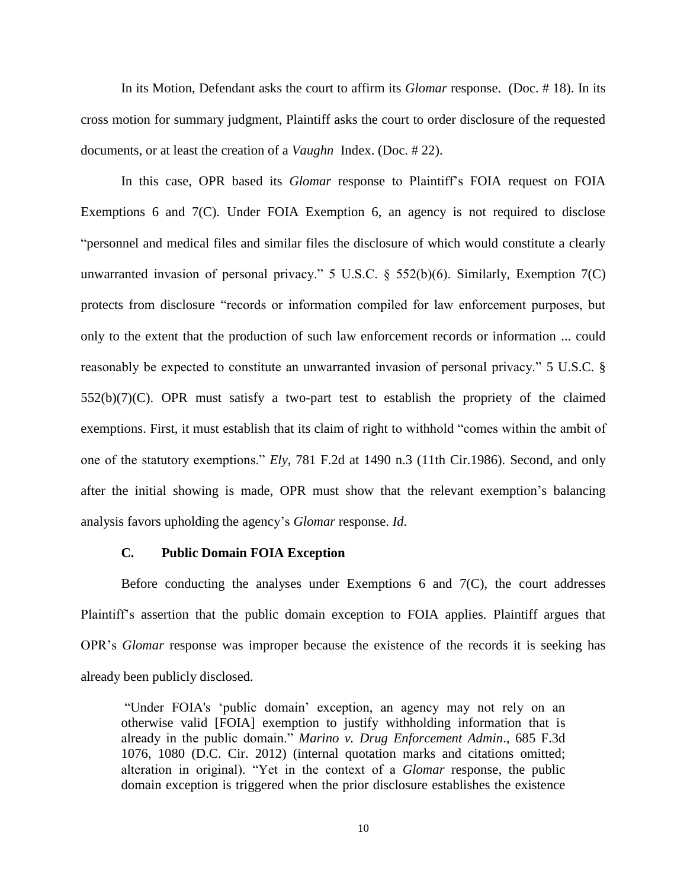In its Motion, Defendant asks the court to affirm its *Glomar* response. (Doc. # 18). In its cross motion for summary judgment, Plaintiff asks the court to order disclosure of the requested documents, or at least the creation of a *Vaughn* Index. (Doc. # 22).

In this case, OPR based its *Glomar* response to Plaintiff's FOIA request on FOIA Exemptions 6 and 7(C). Under FOIA Exemption 6, an agency is not required to disclose "personnel and medical files and similar files the disclosure of which would constitute a clearly unwarranted invasion of personal privacy." 5 U.S.C.  $\S$  552(b)(6). Similarly, Exemption 7(C) protects from disclosure "records or information compiled for law enforcement purposes, but only to the extent that the production of such law enforcement records or information ... could reasonably be expected to constitute an unwarranted invasion of personal privacy." 5 U.S.C. § 552(b)(7)(C). OPR must satisfy a two-part test to establish the propriety of the claimed exemptions. First, it must establish that its claim of right to withhold "comes within the ambit of one of the statutory exemptions." *Ely*, 781 F.2d at 1490 n.3 (11th Cir.1986). Second, and only after the initial showing is made, OPR must show that the relevant exemption's balancing analysis favors upholding the agency's *Glomar* response. *Id*.

#### **C. Public Domain FOIA Exception**

Before conducting the analyses under Exemptions 6 and 7(C), the court addresses Plaintiff's assertion that the public domain exception to FOIA applies. Plaintiff argues that OPR's *Glomar* response was improper because the existence of the records it is seeking has already been publicly disclosed.

"Under FOIA's 'public domain' exception, an agency may not rely on an otherwise valid [FOIA] exemption to justify withholding information that is already in the public domain." *Marino v. Drug Enforcement Admin*., 685 F.3d 1076, 1080 (D.C. Cir. 2012) (internal quotation marks and citations omitted; alteration in original). "Yet in the context of a *Glomar* response, the public domain exception is triggered when the prior disclosure establishes the existence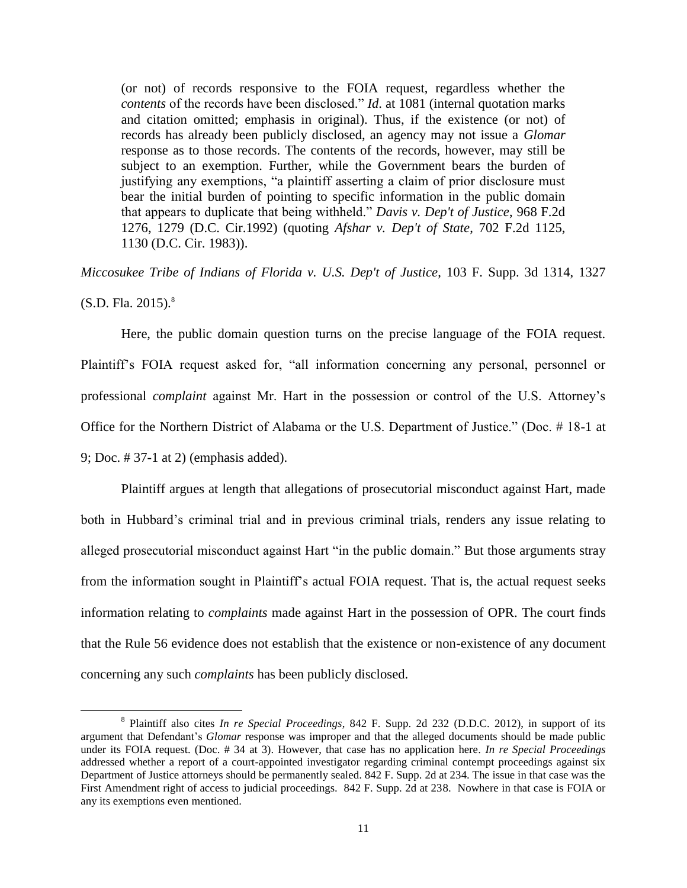(or not) of records responsive to the FOIA request, regardless whether the *contents* of the records have been disclosed." *Id*. at 1081 (internal quotation marks and citation omitted; emphasis in original). Thus, if the existence (or not) of records has already been publicly disclosed, an agency may not issue a *Glomar* response as to those records. The contents of the records, however, may still be subject to an exemption. Further, while the Government bears the burden of justifying any exemptions, "a plaintiff asserting a claim of prior disclosure must bear the initial burden of pointing to specific information in the public domain that appears to duplicate that being withheld." *Davis v. Dep't of Justice*, 968 F.2d 1276, 1279 (D.C. Cir.1992) (quoting *Afshar v. Dep't of State*, 702 F.2d 1125, 1130 (D.C. Cir. 1983)).

*Miccosukee Tribe of Indians of Florida v. U.S. Dep't of Justice*, 103 F. Supp. 3d 1314, 1327  $(S.D. Fla. 2015).$ <sup>8</sup>

Here, the public domain question turns on the precise language of the FOIA request. Plaintiff's FOIA request asked for, "all information concerning any personal, personnel or professional *complaint* against Mr. Hart in the possession or control of the U.S. Attorney's Office for the Northern District of Alabama or the U.S. Department of Justice." (Doc. # 18-1 at 9; Doc. # 37-1 at 2) (emphasis added).

Plaintiff argues at length that allegations of prosecutorial misconduct against Hart, made both in Hubbard's criminal trial and in previous criminal trials, renders any issue relating to alleged prosecutorial misconduct against Hart "in the public domain." But those arguments stray from the information sought in Plaintiff's actual FOIA request. That is, the actual request seeks information relating to *complaints* made against Hart in the possession of OPR. The court finds that the Rule 56 evidence does not establish that the existence or non-existence of any document concerning any such *complaints* has been publicly disclosed.

 $\overline{a}$ 

<sup>8</sup> Plaintiff also cites *In re Special Proceedings*, 842 F. Supp. 2d 232 (D.D.C. 2012), in support of its argument that Defendant's *Glomar* response was improper and that the alleged documents should be made public under its FOIA request. (Doc. # 34 at 3). However, that case has no application here*. In re Special Proceedings* addressed whether a report of a court-appointed investigator regarding criminal contempt proceedings against six Department of Justice attorneys should be permanently sealed. 842 F. Supp. 2d at 234. The issue in that case was the First Amendment right of access to judicial proceedings. 842 F. Supp. 2d at 238. Nowhere in that case is FOIA or any its exemptions even mentioned.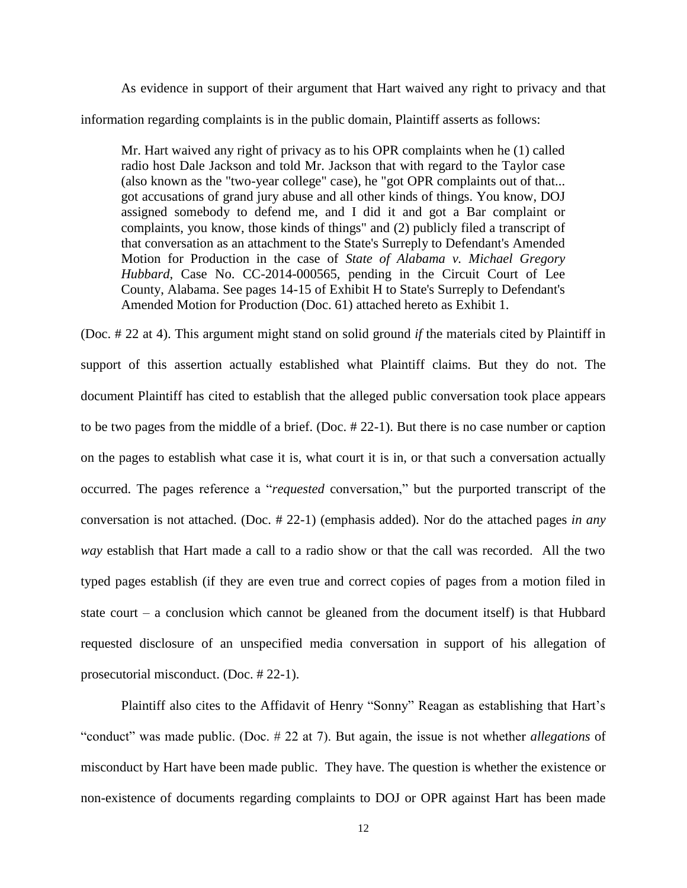As evidence in support of their argument that Hart waived any right to privacy and that information regarding complaints is in the public domain, Plaintiff asserts as follows:

Mr. Hart waived any right of privacy as to his OPR complaints when he (1) called radio host Dale Jackson and told Mr. Jackson that with regard to the Taylor case (also known as the "two-year college" case), he "got OPR complaints out of that... got accusations of grand jury abuse and all other kinds of things. You know, DOJ assigned somebody to defend me, and I did it and got a Bar complaint or complaints, you know, those kinds of things" and (2) publicly filed a transcript of that conversation as an attachment to the State's Surreply to Defendant's Amended Motion for Production in the case of *State of Alabama v. Michael Gregory Hubbard*, Case No. CC-2014-000565, pending in the Circuit Court of Lee County, Alabama. See pages 14-15 of Exhibit H to State's Surreply to Defendant's Amended Motion for Production (Doc. 61) attached hereto as Exhibit 1.

(Doc. # 22 at 4). This argument might stand on solid ground *if* the materials cited by Plaintiff in support of this assertion actually established what Plaintiff claims. But they do not. The document Plaintiff has cited to establish that the alleged public conversation took place appears to be two pages from the middle of a brief. (Doc. # 22-1). But there is no case number or caption on the pages to establish what case it is, what court it is in, or that such a conversation actually occurred. The pages reference a "*requested* conversation," but the purported transcript of the conversation is not attached. (Doc. # 22-1) (emphasis added). Nor do the attached pages *in any way* establish that Hart made a call to a radio show or that the call was recorded. All the two typed pages establish (if they are even true and correct copies of pages from a motion filed in state court – a conclusion which cannot be gleaned from the document itself) is that Hubbard requested disclosure of an unspecified media conversation in support of his allegation of prosecutorial misconduct. (Doc. # 22-1).

Plaintiff also cites to the Affidavit of Henry "Sonny" Reagan as establishing that Hart's "conduct" was made public. (Doc. # 22 at 7). But again, the issue is not whether *allegations* of misconduct by Hart have been made public. They have. The question is whether the existence or non-existence of documents regarding complaints to DOJ or OPR against Hart has been made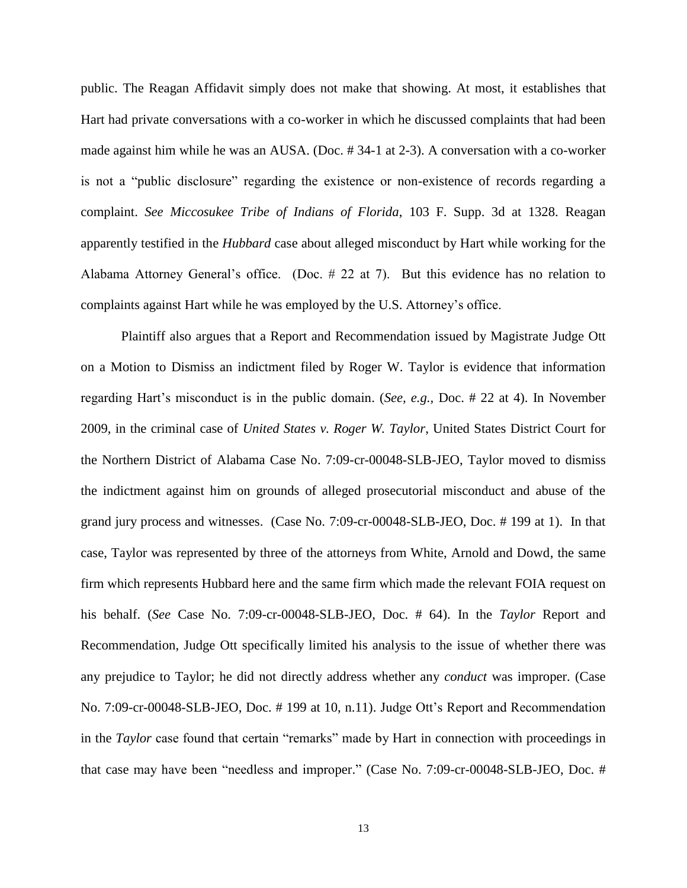public. The Reagan Affidavit simply does not make that showing. At most, it establishes that Hart had private conversations with a co-worker in which he discussed complaints that had been made against him while he was an AUSA. (Doc. # 34-1 at 2-3). A conversation with a co-worker is not a "public disclosure" regarding the existence or non-existence of records regarding a complaint. *See Miccosukee Tribe of Indians of Florida*, 103 F. Supp. 3d at 1328. Reagan apparently testified in the *Hubbard* case about alleged misconduct by Hart while working for the Alabama Attorney General's office. (Doc. # 22 at 7). But this evidence has no relation to complaints against Hart while he was employed by the U.S. Attorney's office.

Plaintiff also argues that a Report and Recommendation issued by Magistrate Judge Ott on a Motion to Dismiss an indictment filed by Roger W. Taylor is evidence that information regarding Hart's misconduct is in the public domain. (*See, e.g.,* Doc. # 22 at 4). In November 2009, in the criminal case of *United States v. Roger W. Taylor*, United States District Court for the Northern District of Alabama Case No. 7:09-cr-00048-SLB-JEO, Taylor moved to dismiss the indictment against him on grounds of alleged prosecutorial misconduct and abuse of the grand jury process and witnesses. (Case No. 7:09-cr-00048-SLB-JEO, Doc. # 199 at 1). In that case, Taylor was represented by three of the attorneys from White, Arnold and Dowd, the same firm which represents Hubbard here and the same firm which made the relevant FOIA request on his behalf. (*See* Case No. 7:09-cr-00048-SLB-JEO, Doc. # 64). In the *Taylor* Report and Recommendation, Judge Ott specifically limited his analysis to the issue of whether there was any prejudice to Taylor; he did not directly address whether any *conduct* was improper. (Case No. 7:09-cr-00048-SLB-JEO, Doc. # 199 at 10, n.11). Judge Ott's Report and Recommendation in the *Taylor* case found that certain "remarks" made by Hart in connection with proceedings in that case may have been "needless and improper." (Case No. 7:09-cr-00048-SLB-JEO, Doc. #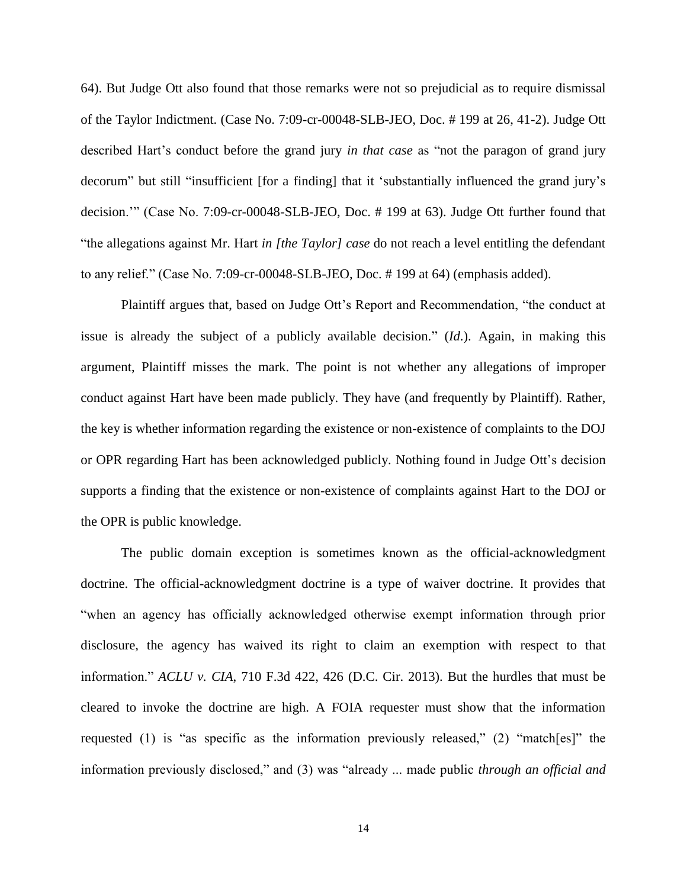64). But Judge Ott also found that those remarks were not so prejudicial as to require dismissal of the Taylor Indictment. (Case No. 7:09-cr-00048-SLB-JEO, Doc. # 199 at 26, 41-2). Judge Ott described Hart's conduct before the grand jury *in that case* as "not the paragon of grand jury decorum" but still "insufficient [for a finding] that it 'substantially influenced the grand jury's decision.'" (Case No. 7:09-cr-00048-SLB-JEO, Doc. # 199 at 63). Judge Ott further found that "the allegations against Mr. Hart *in [the Taylor] case* do not reach a level entitling the defendant to any relief." (Case No. 7:09-cr-00048-SLB-JEO, Doc. # 199 at 64) (emphasis added).

Plaintiff argues that, based on Judge Ott's Report and Recommendation, "the conduct at issue is already the subject of a publicly available decision." (*Id*.). Again, in making this argument, Plaintiff misses the mark. The point is not whether any allegations of improper conduct against Hart have been made publicly. They have (and frequently by Plaintiff). Rather, the key is whether information regarding the existence or non-existence of complaints to the DOJ or OPR regarding Hart has been acknowledged publicly. Nothing found in Judge Ott's decision supports a finding that the existence or non-existence of complaints against Hart to the DOJ or the OPR is public knowledge.

The public domain exception is sometimes known as the official-acknowledgment doctrine. The official-acknowledgment doctrine is a type of waiver doctrine. It provides that "when an agency has officially acknowledged otherwise exempt information through prior disclosure, the agency has waived its right to claim an exemption with respect to that information." *ACLU v. CIA*, 710 F.3d 422, 426 (D.C. Cir. 2013). But the hurdles that must be cleared to invoke the doctrine are high. A FOIA requester must show that the information requested (1) is "as specific as the information previously released," (2) "match[es]" the information previously disclosed," and (3) was "already ... made public *through an official and*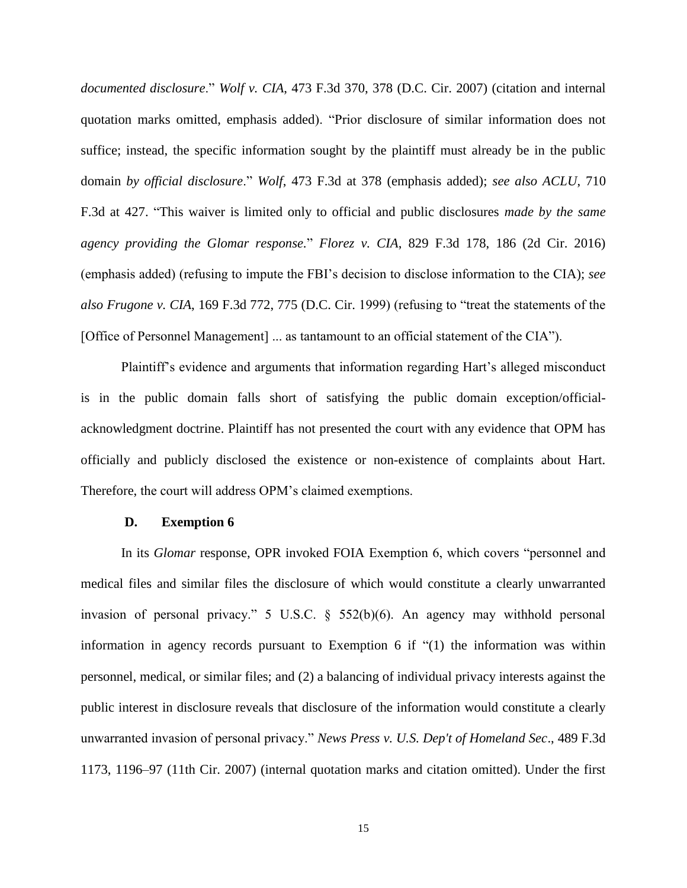*documented disclosure*." *Wolf v. CIA*, 473 F.3d 370, 378 (D.C. Cir. 2007) (citation and internal quotation marks omitted, emphasis added). "Prior disclosure of similar information does not suffice; instead, the specific information sought by the plaintiff must already be in the public domain *by official disclosure*." *Wolf*, 473 F.3d at 378 (emphasis added); *see also ACLU*, 710 F.3d at 427. "This waiver is limited only to official and public disclosures *made by the same agency providing the Glomar response.*" *Florez v. CIA*, 829 F.3d 178, 186 (2d Cir. 2016) (emphasis added) (refusing to impute the FBI's decision to disclose information to the CIA); *see also Frugone v. CIA*, 169 F.3d 772, 775 (D.C. Cir. 1999) (refusing to "treat the statements of the [Office of Personnel Management] ... as tantamount to an official statement of the CIA").

Plaintiff's evidence and arguments that information regarding Hart's alleged misconduct is in the public domain falls short of satisfying the public domain exception/officialacknowledgment doctrine. Plaintiff has not presented the court with any evidence that OPM has officially and publicly disclosed the existence or non-existence of complaints about Hart. Therefore, the court will address OPM's claimed exemptions.

#### **D. Exemption 6**

In its *Glomar* response, OPR invoked FOIA Exemption 6, which covers "personnel and medical files and similar files the disclosure of which would constitute a clearly unwarranted invasion of personal privacy." 5 U.S.C. § 552(b)(6). An agency may withhold personal information in agency records pursuant to Exemption 6 if "(1) the information was within personnel, medical, or similar files; and (2) a balancing of individual privacy interests against the public interest in disclosure reveals that disclosure of the information would constitute a clearly unwarranted invasion of personal privacy." *News Press v. U.S. Dep't of Homeland Sec*., 489 F.3d 1173, 1196–97 (11th Cir. 2007) (internal quotation marks and citation omitted). Under the first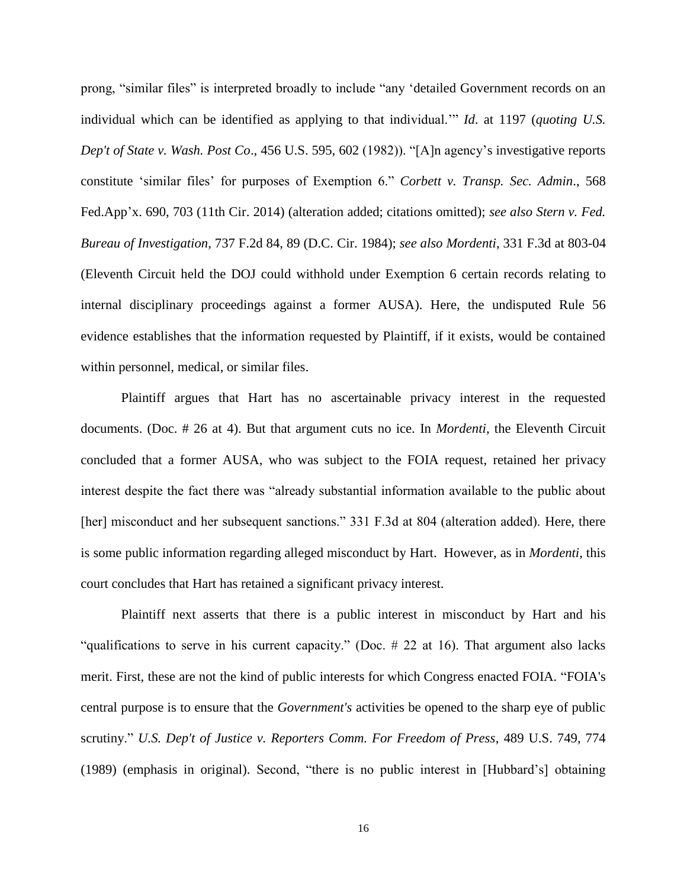prong, "similar files" is interpreted broadly to include "any 'detailed Government records on an individual which can be identified as applying to that individual.'" *Id*. at 1197 (*quoting U.S. Dep't of State v. Wash. Post Co*., 456 U.S. 595, 602 (1982)). "[A]n agency's investigative reports constitute 'similar files' for purposes of Exemption 6." *Corbett v. Transp. Sec. Admin*., 568 Fed.App'x. 690, 703 (11th Cir. 2014) (alteration added; citations omitted); *see also Stern v. Fed. Bureau of Investigation*, 737 F.2d 84, 89 (D.C. Cir. 1984); *see also Mordenti*, 331 F.3d at 803-04 (Eleventh Circuit held the DOJ could withhold under Exemption 6 certain records relating to internal disciplinary proceedings against a former AUSA). Here, the undisputed Rule 56 evidence establishes that the information requested by Plaintiff, if it exists, would be contained within personnel, medical, or similar files.

Plaintiff argues that Hart has no ascertainable privacy interest in the requested documents. (Doc. # 26 at 4). But that argument cuts no ice. In *Mordenti,* the Eleventh Circuit concluded that a former AUSA, who was subject to the FOIA request, retained her privacy interest despite the fact there was "already substantial information available to the public about [her] misconduct and her subsequent sanctions." 331 F.3d at 804 (alteration added). Here, there is some public information regarding alleged misconduct by Hart. However, as in *Mordenti,* this court concludes that Hart has retained a significant privacy interest.

Plaintiff next asserts that there is a public interest in misconduct by Hart and his "qualifications to serve in his current capacity." (Doc. # 22 at 16). That argument also lacks merit. First, these are not the kind of public interests for which Congress enacted FOIA. "FOIA's central purpose is to ensure that the *Government's* activities be opened to the sharp eye of public scrutiny." *U.S. Dep't of Justice v. Reporters Comm. For Freedom of Press*, 489 U.S. 749, 774 (1989) (emphasis in original). Second, "there is no public interest in [Hubbard's] obtaining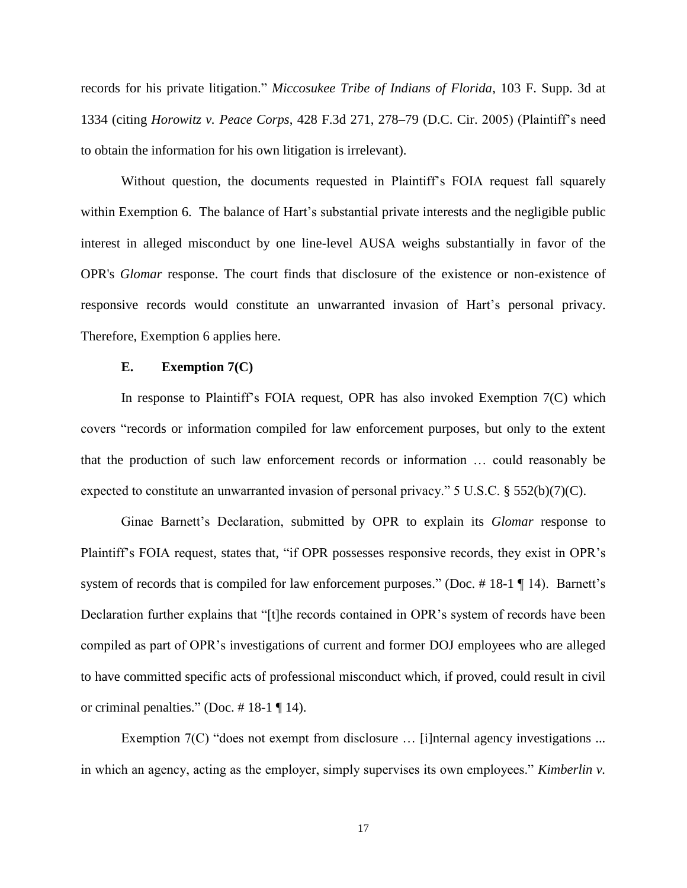records for his private litigation." *Miccosukee Tribe of Indians of Florida*, 103 F. Supp. 3d at 1334 (citing *Horowitz v. Peace Corps*, 428 F.3d 271, 278–79 (D.C. Cir. 2005) (Plaintiff's need to obtain the information for his own litigation is irrelevant).

Without question, the documents requested in Plaintiff's FOIA request fall squarely within Exemption 6. The balance of Hart's substantial private interests and the negligible public interest in alleged misconduct by one line-level AUSA weighs substantially in favor of the OPR's *Glomar* response. The court finds that disclosure of the existence or non-existence of responsive records would constitute an unwarranted invasion of Hart's personal privacy. Therefore, Exemption 6 applies here.

### **E. Exemption 7(C)**

In response to Plaintiff's FOIA request, OPR has also invoked Exemption 7(C) which covers "records or information compiled for law enforcement purposes, but only to the extent that the production of such law enforcement records or information … could reasonably be expected to constitute an unwarranted invasion of personal privacy."  $5 \text{ U.S.C.}$  §  $552(b)(7)(C)$ .

Ginae Barnett's Declaration, submitted by OPR to explain its *Glomar* response to Plaintiff's FOIA request, states that, "if OPR possesses responsive records, they exist in OPR's system of records that is compiled for law enforcement purposes." (Doc.  $\# 18-1 \P 14$ ). Barnett's Declaration further explains that "[t]he records contained in OPR's system of records have been compiled as part of OPR's investigations of current and former DOJ employees who are alleged to have committed specific acts of professional misconduct which, if proved, could result in civil or criminal penalties." (Doc. # 18-1 ¶ 14).

Exemption 7(C) "does not exempt from disclosure ... [i]nternal agency investigations ... in which an agency, acting as the employer, simply supervises its own employees." *Kimberlin v.*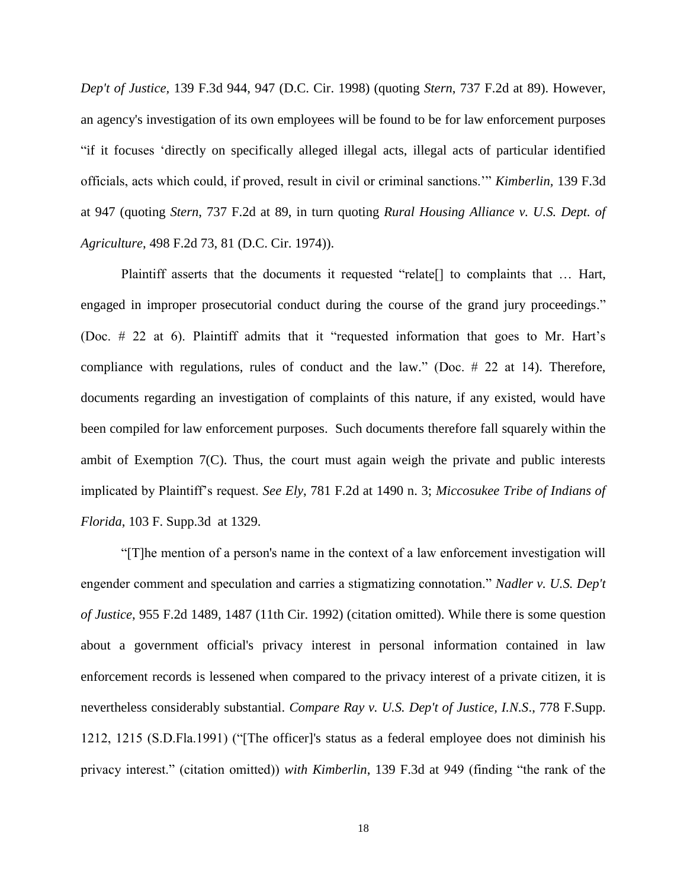*Dep't of Justice,* 139 F.3d 944, 947 (D.C. Cir. 1998) (quoting *Stern*, 737 F.2d at 89). However, an agency's investigation of its own employees will be found to be for law enforcement purposes "if it focuses 'directly on specifically alleged illegal acts, illegal acts of particular identified officials, acts which could, if proved, result in civil or criminal sanctions.'" *Kimberlin,* 139 F.3d at 947 (quoting *Stern*, 737 F.2d at 89, in turn quoting *Rural Housing Alliance v. U.S. Dept. of Agriculture*, 498 F.2d 73, 81 (D.C. Cir. 1974)).

Plaintiff asserts that the documents it requested "relate<sup>[]</sup> to complaints that ... Hart, engaged in improper prosecutorial conduct during the course of the grand jury proceedings." (Doc. # 22 at 6). Plaintiff admits that it "requested information that goes to Mr. Hart's compliance with regulations, rules of conduct and the law." (Doc. # 22 at 14). Therefore, documents regarding an investigation of complaints of this nature, if any existed, would have been compiled for law enforcement purposes. Such documents therefore fall squarely within the ambit of Exemption 7(C). Thus, the court must again weigh the private and public interests implicated by Plaintiff's request. *See Ely*, 781 F.2d at 1490 n. 3; *Miccosukee Tribe of Indians of Florida*, 103 F. Supp.3d at 1329.

"[T]he mention of a person's name in the context of a law enforcement investigation will engender comment and speculation and carries a stigmatizing connotation." *Nadler v. U.S. Dep't of Justice*, 955 F.2d 1489, 1487 (11th Cir. 1992) (citation omitted). While there is some question about a government official's privacy interest in personal information contained in law enforcement records is lessened when compared to the privacy interest of a private citizen, it is nevertheless considerably substantial. *Compare Ray v. U.S. Dep't of Justice, I.N.S*., 778 F.Supp. 1212, 1215 (S.D.Fla.1991) ("[The officer]'s status as a federal employee does not diminish his privacy interest." (citation omitted)) *with Kimberlin*, 139 F.3d at 949 (finding "the rank of the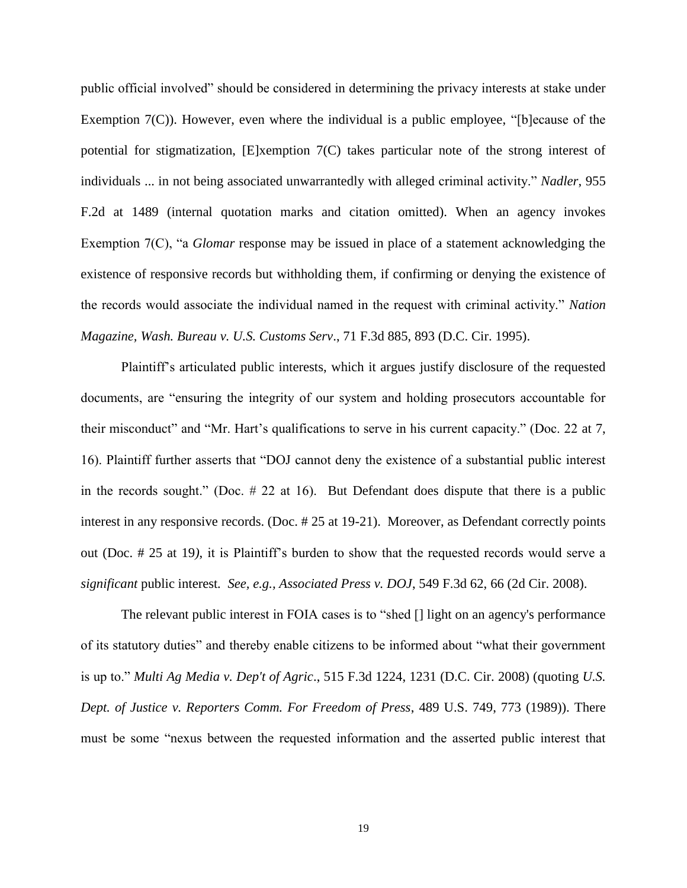public official involved" should be considered in determining the privacy interests at stake under Exemption 7(C)). However, even where the individual is a public employee, "[b]ecause of the potential for stigmatization, [E]xemption 7(C) takes particular note of the strong interest of individuals ... in not being associated unwarrantedly with alleged criminal activity." *Nadler*, 955 F.2d at 1489 (internal quotation marks and citation omitted). When an agency invokes Exemption 7(C), "a *Glomar* response may be issued in place of a statement acknowledging the existence of responsive records but withholding them, if confirming or denying the existence of the records would associate the individual named in the request with criminal activity." *Nation Magazine, Wash. Bureau v. U.S. Customs Serv*., 71 F.3d 885, 893 (D.C. Cir. 1995).

Plaintiff's articulated public interests, which it argues justify disclosure of the requested documents, are "ensuring the integrity of our system and holding prosecutors accountable for their misconduct" and "Mr. Hart's qualifications to serve in his current capacity." (Doc. 22 at 7, 16). Plaintiff further asserts that "DOJ cannot deny the existence of a substantial public interest in the records sought." (Doc.  $\#$  22 at 16). But Defendant does dispute that there is a public interest in any responsive records. (Doc. # 25 at 19-21). Moreover, as Defendant correctly points out (Doc. # 25 at 19*)*, it is Plaintiff's burden to show that the requested records would serve a *significant* public interest*. See, e.g., Associated Press v. DOJ*, 549 F.3d 62, 66 (2d Cir. 2008).

The relevant public interest in FOIA cases is to "shed [] light on an agency's performance of its statutory duties" and thereby enable citizens to be informed about "what their government is up to." *Multi Ag Media v. Dep't of Agric*., 515 F.3d 1224, 1231 (D.C. Cir. 2008) (quoting *U.S. Dept. of Justice v. Reporters Comm. For Freedom of Press*, 489 U.S. 749, 773 (1989)). There must be some "nexus between the requested information and the asserted public interest that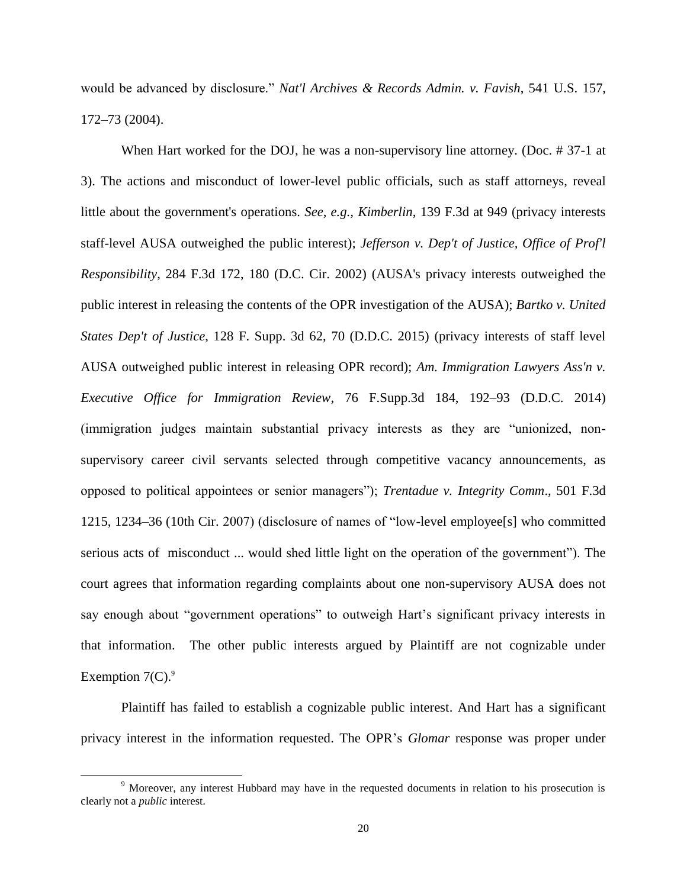would be advanced by disclosure." *Nat'l Archives & Records Admin. v. Favish*, 541 U.S. 157, 172–73 (2004).

When Hart worked for the DOJ, he was a non-supervisory line attorney. (Doc. # 37-1 at 3). The actions and misconduct of lower-level public officials, such as staff attorneys, reveal little about the government's operations. *See, e.g., Kimberlin*, 139 F.3d at 949 (privacy interests staff-level AUSA outweighed the public interest); *Jefferson v. Dep't of Justice, Office of Prof'l Responsibility*, 284 F.3d 172, 180 (D.C. Cir. 2002) (AUSA's privacy interests outweighed the public interest in releasing the contents of the OPR investigation of the AUSA); *Bartko v. United States Dep't of Justice*, 128 F. Supp. 3d 62, 70 (D.D.C. 2015) (privacy interests of staff level AUSA outweighed public interest in releasing OPR record); *Am. Immigration Lawyers Ass'n v. Executive Office for Immigration Review*, 76 F.Supp.3d 184, 192–93 (D.D.C. 2014) (immigration judges maintain substantial privacy interests as they are "unionized, nonsupervisory career civil servants selected through competitive vacancy announcements, as opposed to political appointees or senior managers"); *Trentadue v. Integrity Comm*., 501 F.3d 1215, 1234–36 (10th Cir. 2007) (disclosure of names of "low-level employee[s] who committed serious acts of misconduct ... would shed little light on the operation of the government"). The court agrees that information regarding complaints about one non-supervisory AUSA does not say enough about "government operations" to outweigh Hart's significant privacy interests in that information. The other public interests argued by Plaintiff are not cognizable under Exemption  $7(C)$ .<sup>9</sup>

Plaintiff has failed to establish a cognizable public interest. And Hart has a significant privacy interest in the information requested. The OPR's *Glomar* response was proper under

 $\overline{a}$ 

<sup>9</sup> Moreover, any interest Hubbard may have in the requested documents in relation to his prosecution is clearly not a *public* interest.